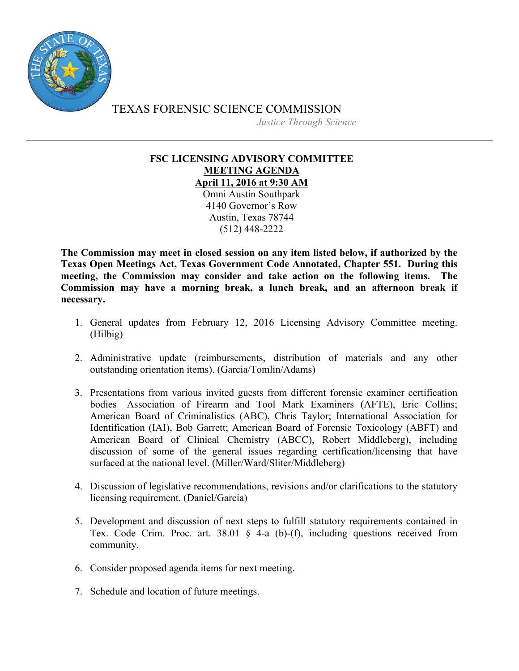

TEXAS FORENSIC SCIENCE COMMISSION *Justice Through Science*

## **FSC LICENSING ADVISORY COMMITTEE MEETING AGENDA April 11, 2016 at 9:30 AM**

Omni Austin Southpark 4140 Governor's Row Austin, Texas 78744 (512) 448-2222

**The Commission may meet in closed session on any item listed below, if authorized by the Texas Open Meetings Act, Texas Government Code Annotated, Chapter 551. During this meeting, the Commission may consider and take action on the following items. The Commission may have a morning break, a lunch break, and an afternoon break if necessary.**

- 1. General updates from February 12, 2016 Licensing Advisory Committee meeting. (Hilbig)
- 2. Administrative update (reimbursements, distribution of materials and any other outstanding orientation items). (Garcia/Tomlin/Adams)
- 3. Presentations from various invited guests from different forensic examiner certification bodies—Association of Firearm and Tool Mark Examiners (AFTE), Eric Collins; American Board of Criminalistics (ABC), Chris Taylor; International Association for Identification (IAI), Bob Garrett; American Board of Forensic Toxicology (ABFT) and American Board of Clinical Chemistry (ABCC), Robert Middleberg), including discussion of some of the general issues regarding certification/licensing that have surfaced at the national level. (Miller/Ward/Sliter/Middleberg)
- 4. Discussion of legislative recommendations, revisions and/or clarifications to the statutory licensing requirement. (Daniel/Garcia)
- 5. Development and discussion of next steps to fulfill statutory requirements contained in Tex. Code Crim. Proc. art. 38.01 § 4-a (b)-(f), including questions received from community.
- 6. Consider proposed agenda items for next meeting.
- 7. Schedule and location of future meetings.